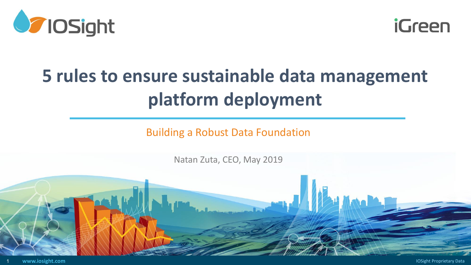



# **5 rules to ensure sustainable data management platform deployment**

Building a Robust Data Foundation

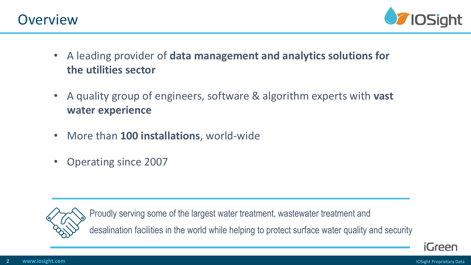

- A leading provider of **data management and analytics solutions for the utilities sector**
- A quality group of engineers, software & algorithm experts with **vast water experience**
- More than **100 installations**, world-wide
- Operating since 2007



Proudly serving some of the largest water treatment, wastewater treatment and desalination facilities in the world while helping to protect surface water quality and security

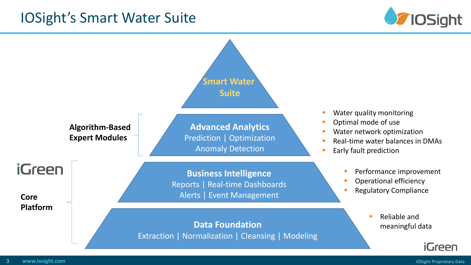### IOSight's Smart Water Suite



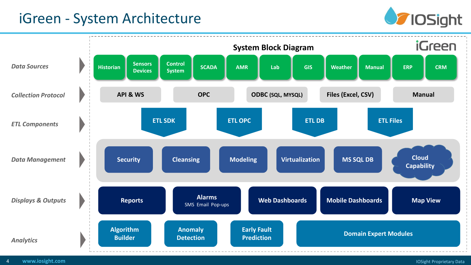### iGreen - System Architecture



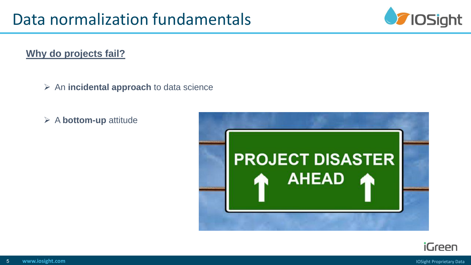

#### **Why do projects fail?**

- ➢ An **incidental approach** to data science
- ➢ A **bottom-up** attitude



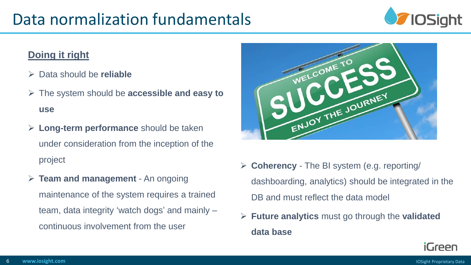## Data normalization fundamentals



#### **Doing it right**

- ➢ Data should be **reliable**
- ➢ The system should be **accessible and easy to use**
- ➢ **Long-term performance** should be taken under consideration from the inception of the project
- ➢ **Team and management**  An ongoing maintenance of the system requires a trained team, data integrity 'watch dogs' and mainly – continuous involvement from the user



- ➢ **Coherency** The BI system (e.g. reporting/ dashboarding, analytics) should be integrated in the DB and must reflect the data model
- ➢ **Future analytics** must go through the **validated data base**

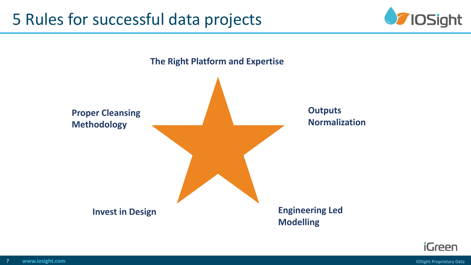



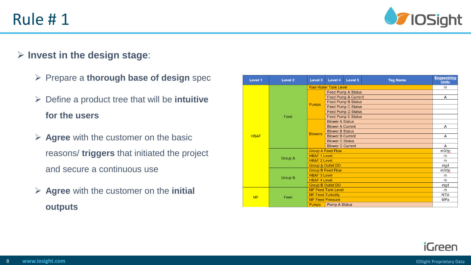

#### ➢ **Invest in the design stage**:

- ➢ Prepare a **thorough base of design** spec
- ➢ Define a product tree that will be **intuitive for the users**
- ➢ **Agree** with the customer on the basic reasons/ **triggers** that initiated the project and secure a continuous use
- ➢ **Agree** with the customer on the **initial outputs**

| Level 1     | Level 2        | Level 3                     | Level 4                    | Level 5                   | <b>Tag Name</b> | Engeeniring<br><b>Units</b> |
|-------------|----------------|-----------------------------|----------------------------|---------------------------|-----------------|-----------------------------|
| <b>HBAF</b> | Feed           | <b>Raw Water Tank Level</b> |                            |                           |                 | m                           |
|             |                | <b>Pumps</b>                | <b>Feed Pump A Status</b>  |                           |                 |                             |
|             |                |                             | <b>Feed Pump A Current</b> |                           |                 | Α                           |
|             |                |                             | <b>Feed Pump B Status</b>  |                           |                 |                             |
|             |                |                             | <b>Feed Pump C Status</b>  |                           |                 |                             |
|             |                |                             |                            | <b>Feed Pump D Status</b> |                 |                             |
|             |                |                             |                            | <b>Feed Pump E Status</b> |                 |                             |
|             |                | <b>Blowers</b>              | <b>Blower A Status</b>     |                           |                 |                             |
|             |                |                             | <b>Blower A Current</b>    |                           |                 | A                           |
|             |                |                             | <b>Blower B Status</b>     |                           |                 |                             |
|             |                |                             | <b>Blower B Current</b>    |                           |                 | A                           |
|             |                |                             | <b>Blower C Status</b>     |                           |                 |                             |
|             |                |                             | <b>Blower C Current</b>    |                           |                 | A                           |
|             | <b>Group A</b> | <b>Group A Feed Flow</b>    |                            |                           |                 | m3/hr                       |
|             |                | <b>HBAF 1 Level</b>         |                            |                           |                 | m                           |
|             |                | <b>HBAF 2 Level</b>         |                            |                           |                 | m                           |
|             |                | <b>Group A Outlet DO</b>    |                            |                           |                 | mg/l                        |
|             | <b>Group B</b> | <b>Group B Feed Flow</b>    |                            |                           |                 | m3/hr                       |
|             |                | <b>HBAF 3 Level</b>         |                            |                           |                 | m                           |
|             |                | <b>HBAF 4 Level</b>         |                            |                           |                 | m                           |
|             |                | <b>Group B Outlet DO</b>    |                            |                           |                 | mg/l                        |
| <b>MF</b>   | Feed           | <b>MF Feed Tank Level</b>   |                            |                           |                 | m                           |
|             |                | <b>MF Feed Turbidity</b>    |                            |                           |                 | <b>NTU</b>                  |
|             |                | <b>MF Feed Pressure</b>     |                            |                           |                 | MPa                         |
|             |                | <b>Pumps</b>                | <b>Pump A Status</b>       |                           |                 |                             |

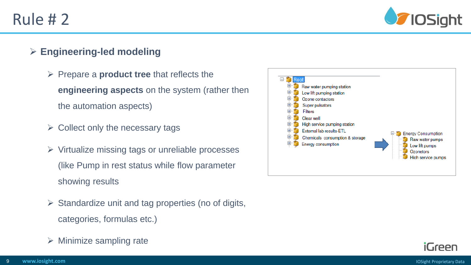

#### ➢ **Engineering-led modeling**

- ➢ Prepare a **product tree** that reflects the **engineering aspects** on the system (rather then the automation aspects)
- $\triangleright$  Collect only the necessary tags
- ➢ Virtualize missing tags or unreliable processes (like Pump in rest status while flow parameter showing results
- $\triangleright$  Standardize unit and tag properties (no of digits, categories, formulas etc.)
- $\triangleright$  Minimize sampling rate



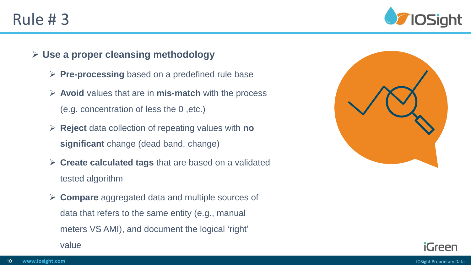

- ➢ **Use a proper cleansing methodology**
	- ➢ **Pre-processing** based on a predefined rule base
	- ➢ **Avoid** values that are in **mis-match** with the process (e.g. concentration of less the 0 ,etc.)
	- ➢ **Reject** data collection of repeating values with **no significant** change (dead band, change)
	- ➢ **Create calculated tags** that are based on a validated tested algorithm
	- ➢ **Compare** aggregated data and multiple sources of data that refers to the same entity (e.g., manual meters VS AMI), and document the logical 'right'

value



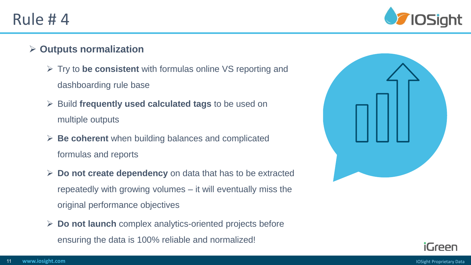

#### ➢ **Outputs normalization**

- ➢ Try to **be consistent** with formulas online VS reporting and dashboarding rule base
- ➢ Build **frequently used calculated tags** to be used on multiple outputs
- ➢ **Be coherent** when building balances and complicated formulas and reports
- ➢ **Do not create dependency** on data that has to be extracted repeatedly with growing volumes – it will eventually miss the original performance objectives
- ➢ **Do not launch** complex analytics-oriented projects before ensuring the data is 100% reliable and normalized!



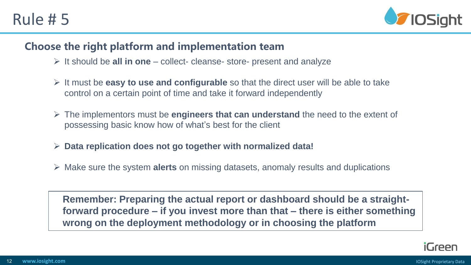

#### **Choose the right platform and implementation team**

- ➢ It should be **all in one**  collect- cleanse- store- present and analyze
- ➢ It must be **easy to use and configurable** so that the direct user will be able to take control on a certain point of time and take it forward independently
- ➢ The implementors must be **engineers that can understand** the need to the extent of possessing basic know how of what's best for the client
- ➢ **Data replication does not go together with normalized data!**
- ➢ Make sure the system **alerts** on missing datasets, anomaly results and duplications

**Remember: Preparing the actual report or dashboard should be a straightforward procedure – if you invest more than that – there is either something wrong on the deployment methodology or in choosing the platform**